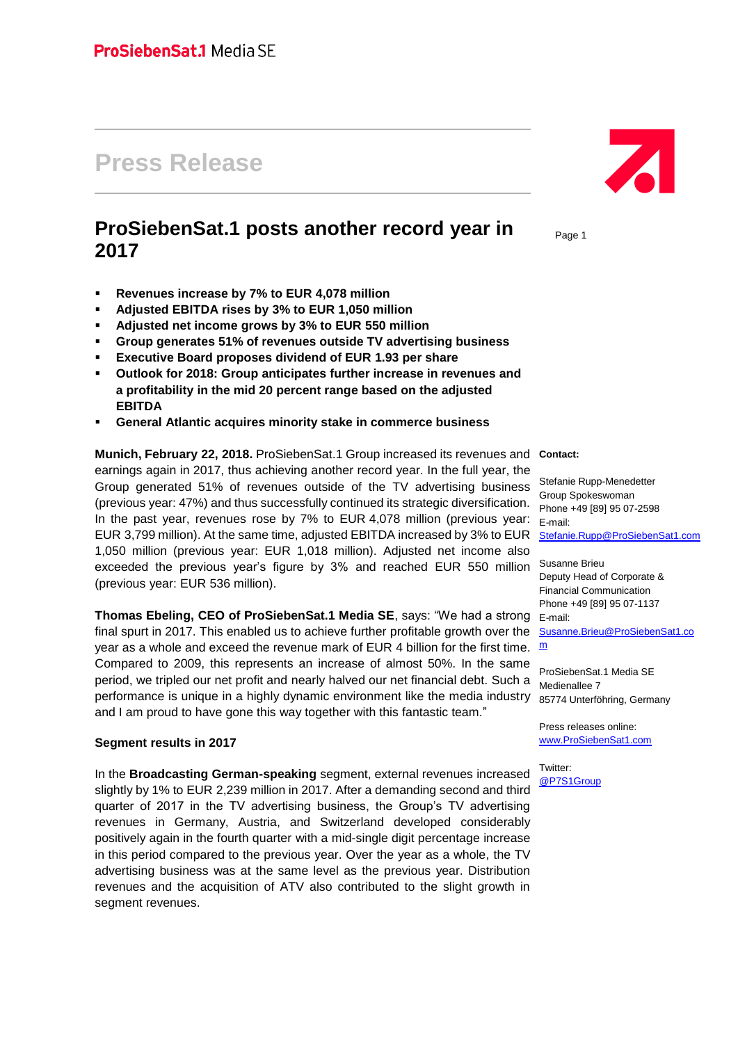# **Press Release**

## **ProSiebenSat.1 posts another record year in 2017**

- **Revenues increase by 7% to EUR 4,078 million**
- **Adjusted EBITDA rises by 3% to EUR 1,050 million**
- **Adjusted net income grows by 3% to EUR 550 million**
- **Group generates 51% of revenues outside TV advertising business**
- **Executive Board proposes dividend of EUR 1.93 per share**
- **Outlook for 2018: Group anticipates further increase in revenues and a profitability in the mid 20 percent range based on the adjusted EBITDA**
- **General Atlantic acquires minority stake in commerce business**

### **Munich, February 22, 2018.** ProSiebenSat.1 Group increased its revenues and **Contact:** earnings again in 2017, thus achieving another record year. In the full year, the Group generated 51% of revenues outside of the TV advertising business (previous year: 47%) and thus successfully continued its strategic diversification. In the past year, revenues rose by 7% to EUR 4,078 million (previous year: EUR 3,799 million). At the same time, adjusted EBITDA increased by 3% to EUR 1,050 million (previous year: EUR 1,018 million). Adjusted net income also exceeded the previous year's figure by 3% and reached EUR 550 million (previous year: EUR 536 million).

**Thomas Ebeling, CEO of ProSiebenSat.1 Media SE**, says: "We had a strong E-mail: final spurt in 2017. This enabled us to achieve further profitable growth over the year as a whole and exceed the revenue [m](mailto:Susanne.Brieu@prosiebensat1.com)ark of EUR 4 billion for the first time. me Compared to 2009, this represents an increase of almost 50%. In the same period, we tripled our net profit and nearly halved our net financial debt. Such a performance is unique in a highly dynamic environment like the media industry and I am proud to have gone this way together with this fantastic team."

#### **Segment results in 2017**

In the **Broadcasting German-speaking** segment, external revenues increased slightly by 1% to EUR 2,239 million in 2017. After a demanding second and third quarter of 2017 in the TV advertising business, the Group's TV advertising revenues in Germany, Austria, and Switzerland developed considerably positively again in the fourth quarter with a mid-single digit percentage increase in this period compared to the previous year. Over the year as a whole, the TV advertising business was at the same level as the previous year. Distribution revenues and the acquisition of ATV also contributed to the slight growth in segment revenues.



Page 1

Stefanie Rupp-Menedetter Group Spokeswoman Phone +49 [89] 95 07-2598 E-mail: [Stefanie.Rupp@ProSiebenSat1.com](mailto:Stefanie.Rupp@prosiebensat1.com)

Susanne Brieu Deputy Head of Corporate & Financial Communication Phone +49 [89] 95 07-1137 [Susanne.Brieu@ProSiebenSat1.co](mailto:Susanne.Brieu@prosiebensat1.com)

ProSiebenSat.1 Media SE Medienallee 7 85774 Unterföhring, Germany

Press releases online: [www.ProSiebenSat1.com](http://www.prosiebensat1.com/)

Twitter: [@P7S1Group](https://twitter.com/P7S1Group)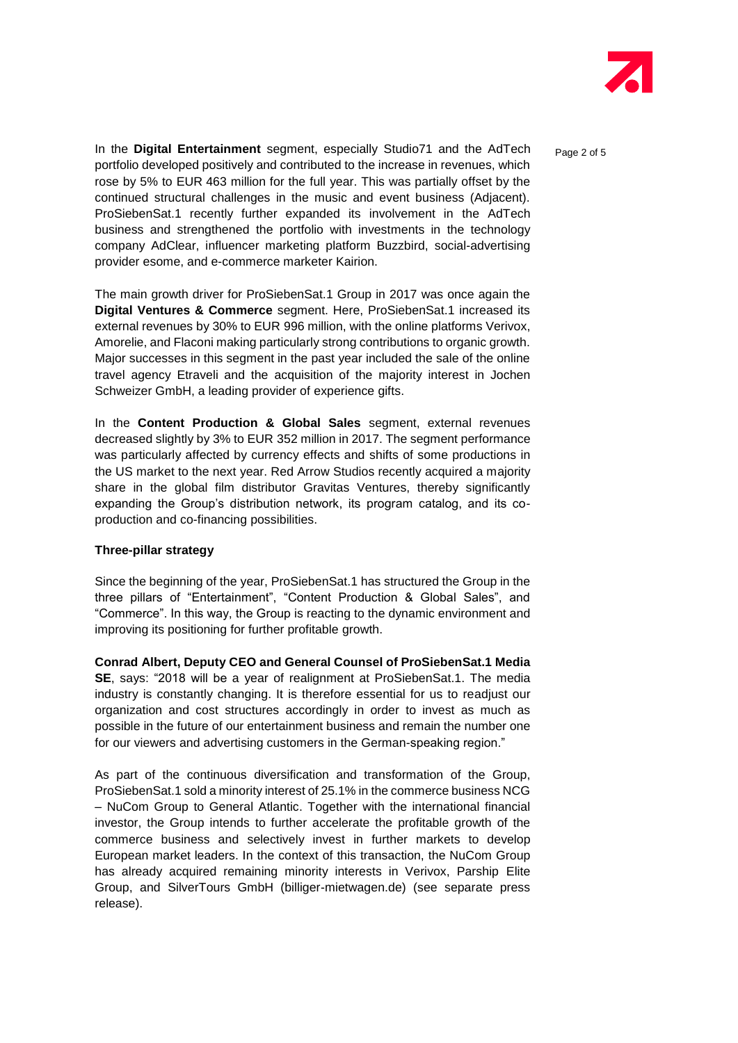

Page 2 of 5

In the **Digital Entertainment** segment, especially Studio71 and the AdTech portfolio developed positively and contributed to the increase in revenues, which rose by 5% to EUR 463 million for the full year. This was partially offset by the continued structural challenges in the music and event business (Adjacent). ProSiebenSat.1 recently further expanded its involvement in the AdTech business and strengthened the portfolio with investments in the technology company AdClear, influencer marketing platform Buzzbird, social-advertising provider esome, and e-commerce marketer Kairion.

The main growth driver for ProSiebenSat.1 Group in 2017 was once again the **Digital Ventures & Commerce** segment. Here, ProSiebenSat.1 increased its external revenues by 30% to EUR 996 million, with the online platforms Verivox, Amorelie, and Flaconi making particularly strong contributions to organic growth. Major successes in this segment in the past year included the sale of the online travel agency Etraveli and the acquisition of the majority interest in Jochen Schweizer GmbH, a leading provider of experience gifts.

In the **Content Production & Global Sales** segment, external revenues decreased slightly by 3% to EUR 352 million in 2017. The segment performance was particularly affected by currency effects and shifts of some productions in the US market to the next year. Red Arrow Studios recently acquired a majority share in the global film distributor Gravitas Ventures, thereby significantly expanding the Group's distribution network, its program catalog, and its coproduction and co-financing possibilities.

### **Three-pillar strategy**

Since the beginning of the year, ProSiebenSat.1 has structured the Group in the three pillars of "Entertainment", "Content Production & Global Sales", and "Commerce". In this way, the Group is reacting to the dynamic environment and improving its positioning for further profitable growth.

**Conrad Albert, Deputy CEO and General Counsel of ProSiebenSat.1 Media SE**, says: "2018 will be a year of realignment at ProSiebenSat.1. The media industry is constantly changing. It is therefore essential for us to readjust our organization and cost structures accordingly in order to invest as much as possible in the future of our entertainment business and remain the number one for our viewers and advertising customers in the German-speaking region."

As part of the continuous diversification and transformation of the Group, ProSiebenSat.1 sold a minority interest of 25.1% in the commerce business NCG – NuCom Group to General Atlantic. Together with the international financial investor, the Group intends to further accelerate the profitable growth of the commerce business and selectively invest in further markets to develop European market leaders. In the context of this transaction, the NuCom Group has already acquired remaining minority interests in Verivox, Parship Elite Group, and SilverTours GmbH (billiger-mietwagen.de) (see separate press release).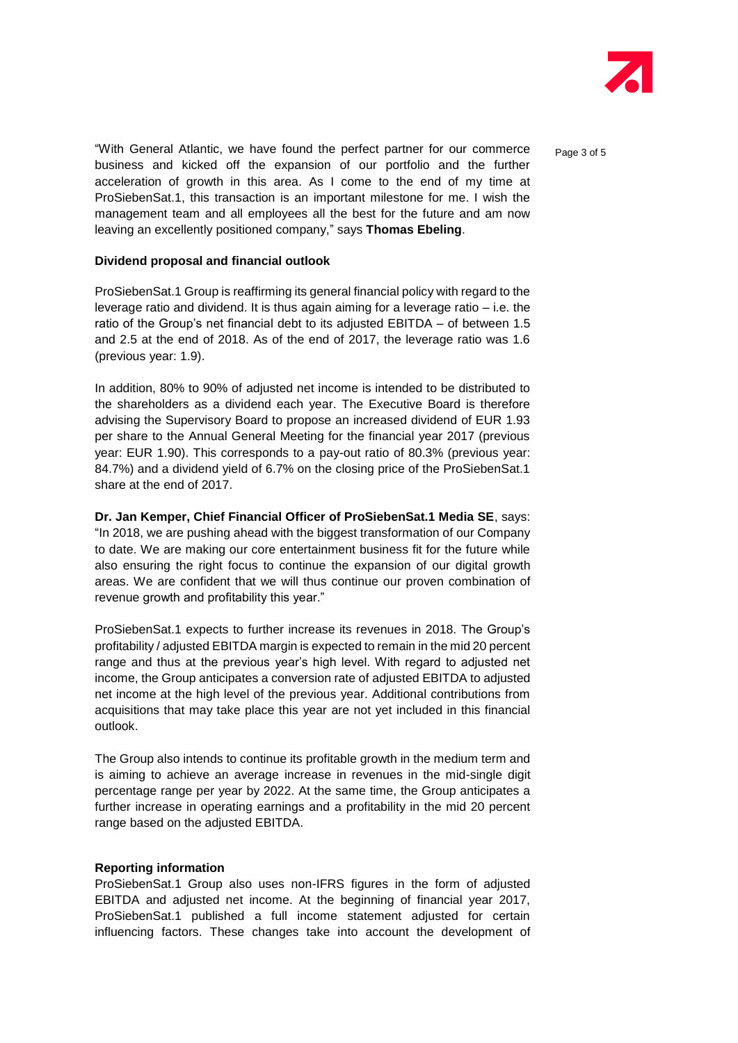

Page 3 of 5

"With General Atlantic, we have found the perfect partner for our commerce business and kicked off the expansion of our portfolio and the further acceleration of growth in this area. As I come to the end of my time at ProSiebenSat.1, this transaction is an important milestone for me. I wish the management team and all employees all the best for the future and am now leaving an excellently positioned company," says **Thomas Ebeling**.

#### **Dividend proposal and financial outlook**

ProSiebenSat.1 Group is reaffirming its general financial policy with regard to the leverage ratio and dividend. It is thus again aiming for a leverage ratio – i.e. the ratio of the Group's net financial debt to its adjusted EBITDA – of between 1.5 and 2.5 at the end of 2018. As of the end of 2017, the leverage ratio was 1.6 (previous year: 1.9).

In addition, 80% to 90% of adjusted net income is intended to be distributed to the shareholders as a dividend each year. The Executive Board is therefore advising the Supervisory Board to propose an increased dividend of EUR 1.93 per share to the Annual General Meeting for the financial year 2017 (previous year: EUR 1.90). This corresponds to a pay-out ratio of 80.3% (previous year: 84.7%) and a dividend yield of 6.7% on the closing price of the ProSiebenSat.1 share at the end of 2017.

**Dr. Jan Kemper, Chief Financial Officer of ProSiebenSat.1 Media SE**, says: "In 2018, we are pushing ahead with the biggest transformation of our Company to date. We are making our core entertainment business fit for the future while also ensuring the right focus to continue the expansion of our digital growth areas. We are confident that we will thus continue our proven combination of revenue growth and profitability this year."

ProSiebenSat.1 expects to further increase its revenues in 2018. The Group's profitability / adjusted EBITDA margin is expected to remain in the mid 20 percent range and thus at the previous year's high level. With regard to adjusted net income, the Group anticipates a conversion rate of adjusted EBITDA to adjusted net income at the high level of the previous year. Additional contributions from acquisitions that may take place this year are not yet included in this financial outlook.

The Group also intends to continue its profitable growth in the medium term and is aiming to achieve an average increase in revenues in the mid-single digit percentage range per year by 2022. At the same time, the Group anticipates a further increase in operating earnings and a profitability in the mid 20 percent range based on the adjusted EBITDA.

#### **Reporting information**

ProSiebenSat.1 Group also uses non-IFRS figures in the form of adjusted EBITDA and adjusted net income. At the beginning of financial year 2017, ProSiebenSat.1 published a full income statement adjusted for certain influencing factors. These changes take into account the development of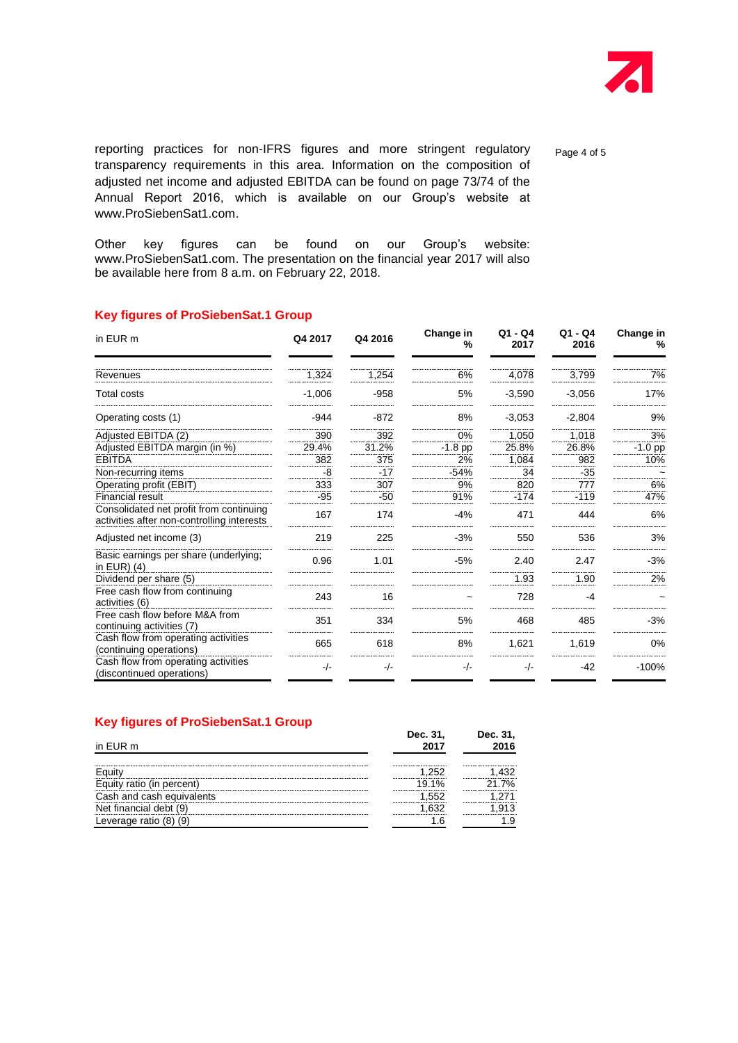

reporting practices for non-IFRS figures and more stringent regulatory transparency requirements in this area. Information on the composition of adjusted net income and adjusted EBITDA can be found on page 73/74 of the Annual Report 2016, which is available on our Group's website at www.ProSiebenSat1.com.

Other key figures can be found on our Group's website: www.ProSiebenSat1.com. The presentation on the financial year 2017 will also be available here from 8 a.m. on February 22, 2018.

#### **Key figures of ProSiebenSat.1 Group**

| in EUR m                                                                              | Q4 2017  | Q4 2016 | Change in<br>% | $Q1 - Q4$<br>2017 | $Q1 - Q4$<br>2016 | Change in<br>% |
|---------------------------------------------------------------------------------------|----------|---------|----------------|-------------------|-------------------|----------------|
| Revenues                                                                              | 1,324    | 1,254   | 6%             | 4,078             | 3,799             | 7%             |
| <b>Total costs</b>                                                                    | $-1,006$ | $-958$  | 5%             | $-3,590$          | $-3,056$          | 17%            |
| Operating costs (1)                                                                   | $-944$   | $-872$  | 8%             | $-3,053$          | $-2,804$          | 9%             |
| Adjusted EBITDA (2)                                                                   | 390      | 392     | 0%             | 1,050             | 1,018             | 3%             |
| Adjusted EBITDA margin (in %)                                                         | 29.4%    | 31.2%   | $-1.8$ pp      | 25.8%             | 26.8%             | $-1.0$ pp      |
| <b>EBITDA</b>                                                                         | 382      | 375     | 2%             | 1,084             | 982               | 10%            |
| Non-recurring items                                                                   | -8       | -17     | $-54%$         | 34                | $-35$             |                |
| Operating profit (EBIT)                                                               | 333      | 307     | 9%             | 820               | 777               | 6%             |
| <b>Financial result</b>                                                               | $-95$    | $-50$   | 91%            | $-174$            | $-119$            | 47%            |
| Consolidated net profit from continuing<br>activities after non-controlling interests | 167      | 174     | $-4%$          | 471               | 444               | 6%             |
| Adjusted net income (3)                                                               | 219      | 225     | $-3%$          | 550               | 536               | 3%             |
| Basic earnings per share (underlying;<br>in $EUR$ ) $(4)$                             | 0.96     | 1.01    | $-5%$          | 2.40              | 2.47              | $-3%$          |
| Dividend per share (5)                                                                |          |         |                | 1.93              | 1.90              | 2%             |
| Free cash flow from continuing<br>activities (6)                                      | 243      | 16      |                | 728               | -4                |                |
| Free cash flow before M&A from<br>continuing activities (7)                           | 351      | 334     | 5%             | 468               | 485               | $-3%$          |
| Cash flow from operating activities<br>(continuing operations)                        | 665      | 618     | 8%             | 1,621             | 1,619             | 0%             |
| Cash flow from operating activities<br>(discontinued operations)                      | $-/-$    | $-/-$   | $-/-$          | $-/-$             | $-42$             | $-100%$        |

| <b>Key figures of ProSiebenSat.1 Group</b> |  |  |
|--------------------------------------------|--|--|
|--------------------------------------------|--|--|

| in EUR m               | Dec. 31, | Dec. 31,                               |
|------------------------|----------|----------------------------------------|
|                        |          |                                        |
|                        |          |                                        |
| cash equ               |          | ,,,,,,,,,,,,,,,,,,,,,,,,,,,,,,,,,,,,,, |
| Net financial debt (9) |          |                                        |
|                        |          |                                        |

Page 4 of 5